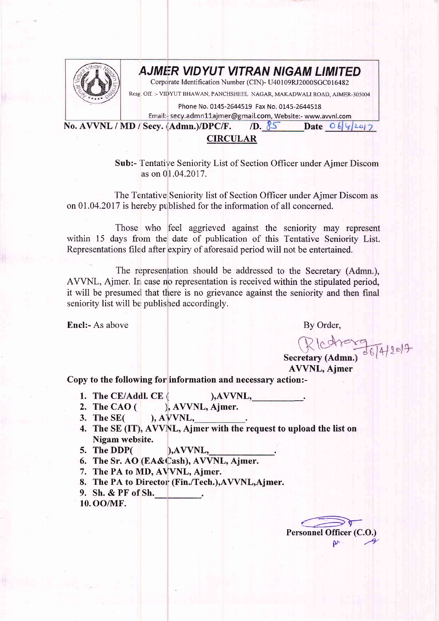

## AJMER VIDYUT VITRAN NIGAM LIMITED

Corporate Identification Number (CIN)- U40109RJ2000SGC016482

Rese, Off. :- VIDYUT BHAWAN, PANCHSHEEL NAGAR, MAKADWALI ROAD, AJMER-305004

Phone No. 0145-2644519 Fax No. 0145-2644518

Email:- secy.admn11ajmer@gmail.com, Website:- www.avvnl.com Date  $064207$ 

No. AVVNL / MD / Secv. (Admn.)/DPC/F.  $/D.85$ 

## **CIRCULAR**

**Sub:-** Tentative Seniority List of Section Officer under Ajmer Discom as on 01.04.2017.

The Tentative Seniority list of Section Officer under Ajmer Discom as on 01.04.2017 is hereby published for the information of all concerned.

Those who feel aggrieved against the seniority may represent within 15 days from the date of publication of this Tentative Seniority List. Representations filed after expiry of aforesaid period will not be entertained.

The representation should be addressed to the Secretary (Admn.), AVVNL, Ajmer. In case no representation is received within the stipulated period, it will be presumed that there is no grievance against the seniority and then final seniority list will be published accordingly.

**Encl:-** As above

By Order,

RIcharge 14/2017

**AVVNL, Ajmer** 

Copy to the following for information and necessary action:-

- 1. The CE/Addl. CE  $AVVNL$
- 2. The CAO $($ ), AVVNL, Ajmer.
- 3. The  $SE($  $AVVNL$ ,
- 4. The SE (IT), AVVNL, Ajmer with the request to upload the list on Nigam website.
- 5. The DDP(  $AVVNL$ ,
- 6. The Sr. AO (EA&Cash), AVVNL, Ajmer.
- 7. The PA to MD, AVVNL, Ajmer.
- 8. The PA to Director (Fin./Tech.), AVVNL, Aimer.
- 9. Sh. & PF of Sh.

10. OO/MF.

Personnel Officer (C.O.)